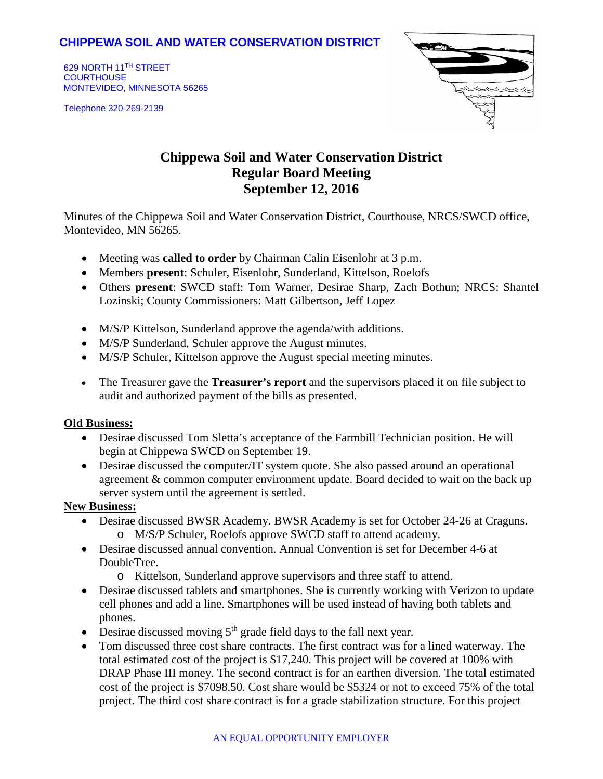## **CHIPPEWA SOIL AND WATER CONSERVATION DISTRICT**

629 NORTH 11TH STREET **COURTHOUSE** MONTEVIDEO, MINNESOTA 56265

Telephone 320-269-2139



# **Chippewa Soil and Water Conservation District Regular Board Meeting September 12, 2016**

Minutes of the Chippewa Soil and Water Conservation District, Courthouse, NRCS/SWCD office, Montevideo, MN 56265.

- Meeting was **called to order** by Chairman Calin Eisenlohr at 3 p.m.
- Members **present**: Schuler, Eisenlohr, Sunderland, Kittelson, Roelofs
- Others **present**: SWCD staff: Tom Warner, Desirae Sharp, Zach Bothun; NRCS: Shantel Lozinski; County Commissioners: Matt Gilbertson, Jeff Lopez
- M/S/P Kittelson, Sunderland approve the agenda/with additions.
- M/S/P Sunderland, Schuler approve the August minutes.
- M/S/P Schuler, Kittelson approve the August special meeting minutes.
- The Treasurer gave the **Treasurer's report** and the supervisors placed it on file subject to audit and authorized payment of the bills as presented.

#### **Old Business:**

- Desirae discussed Tom Sletta's acceptance of the Farmbill Technician position. He will begin at Chippewa SWCD on September 19.
- Desirae discussed the computer/IT system quote. She also passed around an operational agreement & common computer environment update. Board decided to wait on the back up server system until the agreement is settled.

### **New Business:**

- Desirae discussed BWSR Academy. BWSR Academy is set for October 24-26 at Craguns. o M/S/P Schuler, Roelofs approve SWCD staff to attend academy.
- Desirae discussed annual convention. Annual Convention is set for December 4-6 at DoubleTree.
	- o Kittelson, Sunderland approve supervisors and three staff to attend.
- Desirae discussed tablets and smartphones. She is currently working with Verizon to update cell phones and add a line. Smartphones will be used instead of having both tablets and phones.
- Desirae discussed moving  $5<sup>th</sup>$  grade field days to the fall next year.
- Tom discussed three cost share contracts. The first contract was for a lined waterway. The total estimated cost of the project is \$17,240. This project will be covered at 100% with DRAP Phase III money. The second contract is for an earthen diversion. The total estimated cost of the project is \$7098.50. Cost share would be \$5324 or not to exceed 75% of the total project. The third cost share contract is for a grade stabilization structure. For this project